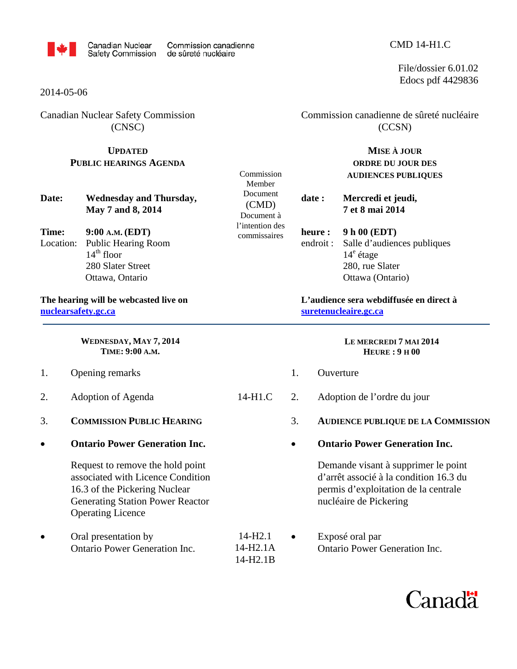

Commission Member Document (CMD) Document à l'intention des commissaires

### 2014-05-06

Canadian Nuclear Safety Commission (CNSC)

## **UPDATED PUBLIC HEARINGS AGENDA**

**Date: Wednesday and Thursday, May 7 and 8, 2014** 

**Time: 9:00 A.M. (EDT)** Location: Public Hearing Room  $14<sup>th</sup>$  floor 280 Slater Street Ottawa, Ontario

**The hearing will be webcasted live on [nuclearsafety.gc.ca](http://www.nuclearsafety.gc.ca/)**

> **WEDNESDAY, MAY 7, 2014 TIME: 9:00 A.M.**

- 1. Opening remarks
- 2. Adoption of Agenda 14-H1.C
- 3. **COMMISSION PUBLIC HEARING**
- **Ontario Power Generation Inc.**

Request to remove the hold point associated with Licence Condition 16.3 of the Pickering Nuclear Generating Station Power Reactor Operating Licence

Oral presentation by 14-H2.1 Ontario Power Generation Inc. 14-H2.1A Commission canadienne de sûreté nucléaire (CCSN)

> **MISE À JOUR ORDRE DU JOUR DES AUDIENCES PUBLIQUES**

**date : Mercredi et jeudi, 7 et 8 mai 2014** 

**heure : 9 h 00 (EDT)** endroit : Salle d'audiences publiques  $14^e$  étage 280, rue Slater Ottawa (Ontario)

**L'audience sera webdiffusée en direct à [suretenucleaire.gc.ca](http://www.suretenucleaire.gc.ca/)**

#### **LE MERCREDI 7 MAI 2014 HEURE : 9 H 00**

- 1. Ouverture 2. Adoption de l'ordre du jour 3. **AUDIENCE PUBLIQUE DE LA COMMISSION** • **Ontario Power Generation Inc.** Demande visant à supprimer le point d'arrêt associé à la condition 16.3 du permis d'exploitation de la centrale nucléaire de Pickering
- 14-H2.1B • Exposé oral par Ontario Power Generation Inc.



### CMD 14-H1.C

File/dossier 6.01.02 Edocs pdf 4429836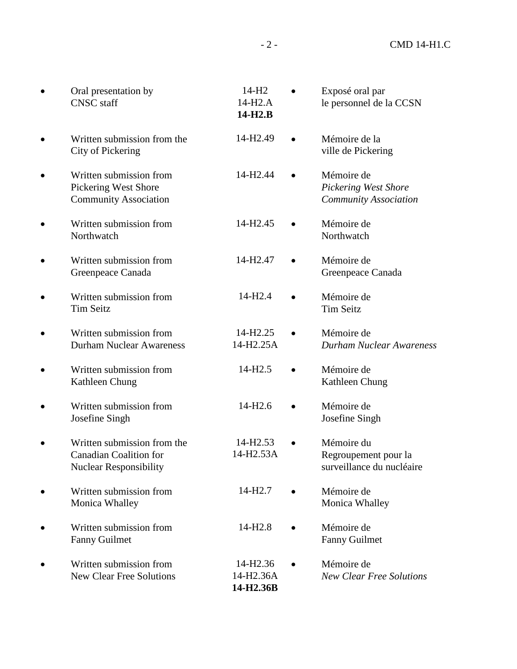| Oral presentation by<br><b>CNSC</b> staff                                                     | 14-H <sub>2</sub><br>14-H <sub>2</sub> .A<br>$14-H2.B$ | Exposé oral par<br>le personnel de la CCSN                         |
|-----------------------------------------------------------------------------------------------|--------------------------------------------------------|--------------------------------------------------------------------|
| Written submission from the<br>City of Pickering                                              | 14-H <sub>2.49</sub>                                   | Mémoire de la<br>ville de Pickering                                |
| Written submission from<br>Pickering West Shore<br><b>Community Association</b>               | 14-H <sub>2.44</sub>                                   | Mémoire de<br>Pickering West Shore<br><b>Community Association</b> |
| Written submission from<br>Northwatch                                                         | 14-H <sub>2.45</sub>                                   | Mémoire de<br>Northwatch                                           |
| Written submission from<br>Greenpeace Canada                                                  | 14-H <sub>2.47</sub>                                   | Mémoire de<br>Greenpeace Canada                                    |
| Written submission from<br><b>Tim Seitz</b>                                                   | 14-H <sub>2.4</sub>                                    | Mémoire de<br><b>Tim Seitz</b>                                     |
| Written submission from<br><b>Durham Nuclear Awareness</b>                                    | 14-H <sub>2.25</sub><br>14-H2.25A                      | Mémoire de<br>Durham Nuclear Awareness                             |
| Written submission from<br>Kathleen Chung                                                     | 14-H <sub>2.5</sub>                                    | Mémoire de<br>Kathleen Chung                                       |
| Written submission from<br>Josefine Singh                                                     | 14-H <sub>2.6</sub>                                    | Mémoire de<br>Josefine Singh                                       |
| Written submission from the<br><b>Canadian Coalition for</b><br><b>Nuclear Responsibility</b> | 14-H2.53<br>14-H2.53A                                  | Mémoire du<br>Regroupement pour la<br>surveillance du nucléaire    |
| Written submission from<br>Monica Whalley                                                     | 14-H <sub>2.7</sub>                                    | Mémoire de<br>Monica Whalley                                       |
| Written submission from<br><b>Fanny Guilmet</b>                                               | 14-H <sub>2.8</sub>                                    | Mémoire de<br><b>Fanny Guilmet</b>                                 |
| Written submission from<br><b>New Clear Free Solutions</b>                                    | 14-H <sub>2.36</sub><br>14-H2.36A<br>14-H2.36B         | Mémoire de<br><b>New Clear Free Solutions</b>                      |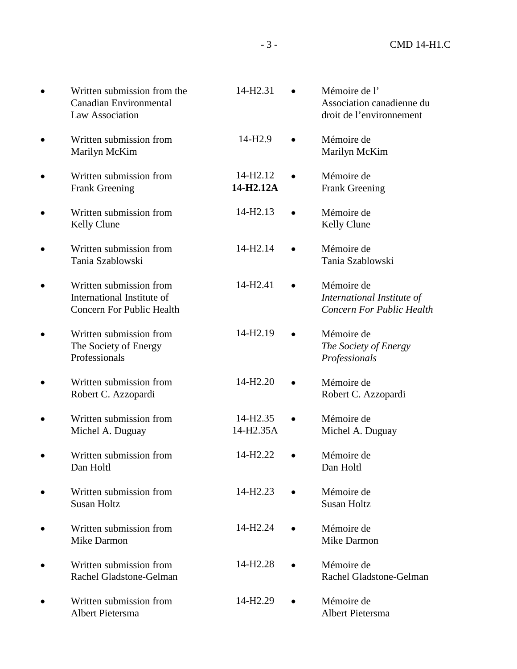| Written submission from the<br><b>Canadian Environmental</b><br>Law Association           | 14-H2.31                          |           | Mémoire de l'<br>Association canadienne du<br>droit de l'environnement       |
|-------------------------------------------------------------------------------------------|-----------------------------------|-----------|------------------------------------------------------------------------------|
| Written submission from<br>Marilyn McKim                                                  | 14-H <sub>2.9</sub>               |           | Mémoire de<br>Marilyn McKim                                                  |
| Written submission from<br><b>Frank Greening</b>                                          | 14-H <sub>2.12</sub><br>14-H2.12A |           | Mémoire de<br><b>Frank Greening</b>                                          |
| Written submission from<br>Kelly Clune                                                    | 14-H2.13                          |           | Mémoire de<br>Kelly Clune                                                    |
| Written submission from<br>Tania Szablowski                                               | 14-H2.14                          |           | Mémoire de<br>Tania Szablowski                                               |
| Written submission from<br>International Institute of<br><b>Concern For Public Health</b> | 14-H <sub>2.41</sub>              | $\bullet$ | Mémoire de<br>International Institute of<br><b>Concern For Public Health</b> |
| Written submission from<br>The Society of Energy<br>Professionals                         | 14-H2.19                          |           | Mémoire de<br>The Society of Energy<br>Professionals                         |
| Written submission from<br>Robert C. Azzopardi                                            | 14-H <sub>2.20</sub>              |           | Mémoire de<br>Robert C. Azzopardi                                            |
| Written submission from<br>Michel A. Duguay                                               | 14-H <sub>2.35</sub><br>14-H2.35A |           | Mémoire de<br>Michel A. Duguay                                               |
| Written submission from<br>Dan Holtl                                                      | 14-H <sub>2.22</sub>              |           | Mémoire de<br>Dan Holtl                                                      |
| Written submission from<br><b>Susan Holtz</b>                                             | 14-H <sub>2.23</sub>              |           | Mémoire de<br><b>Susan Holtz</b>                                             |
| Written submission from<br>Mike Darmon                                                    | 14-H <sub>2.24</sub>              |           | Mémoire de<br><b>Mike Darmon</b>                                             |
| Written submission from<br>Rachel Gladstone-Gelman                                        | 14-H <sub>2.28</sub>              |           | Mémoire de<br>Rachel Gladstone-Gelman                                        |
| Written submission from<br>Albert Pietersma                                               | 14-H <sub>2.29</sub>              |           | Mémoire de<br>Albert Pietersma                                               |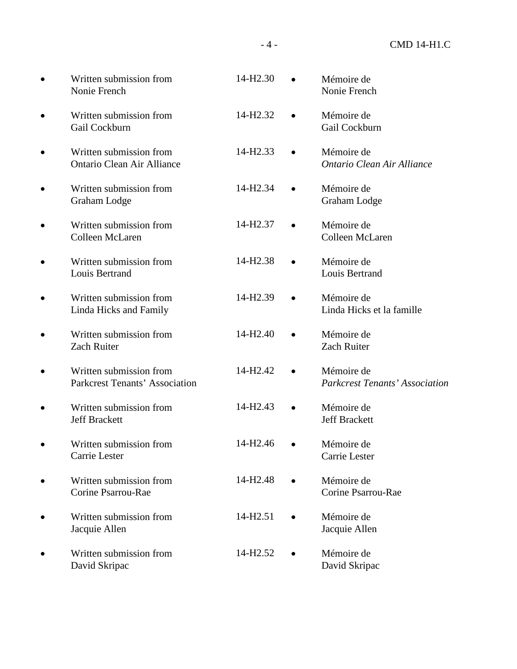| Written submission from<br>Nonie French                          | 14-H <sub>2.30</sub> | Mémoire de<br>Nonie French                          |
|------------------------------------------------------------------|----------------------|-----------------------------------------------------|
| Written submission from<br>Gail Cockburn                         | 14-H <sub>2.32</sub> | Mémoire de<br>Gail Cockburn                         |
| Written submission from<br><b>Ontario Clean Air Alliance</b>     | 14-H2.33             | Mémoire de<br>Ontario Clean Air Alliance            |
| Written submission from<br>Graham Lodge                          | 14-H <sub>2.34</sub> | Mémoire de<br>Graham Lodge                          |
| Written submission from<br>Colleen McLaren                       | 14-H <sub>2.37</sub> | Mémoire de<br>Colleen McLaren                       |
| Written submission from<br>Louis Bertrand                        | 14-H2.38             | Mémoire de<br>Louis Bertrand                        |
| Written submission from<br>Linda Hicks and Family                | 14-H <sub>2.39</sub> | Mémoire de<br>Linda Hicks et la famille             |
| Written submission from<br><b>Zach Ruiter</b>                    | 14-H <sub>2.40</sub> | Mémoire de<br>Zach Ruiter                           |
| Written submission from<br><b>Parkcrest Tenants' Association</b> | 14-H <sub>2.42</sub> | Mémoire de<br><b>Parkcrest Tenants' Association</b> |
| Written submission from<br><b>Jeff Brackett</b>                  | 14-H <sub>2.43</sub> | Mémoire de<br><b>Jeff Brackett</b>                  |
| Written submission from<br>Carrie Lester                         | 14-H <sub>2.46</sub> | Mémoire de<br>Carrie Lester                         |
| Written submission from<br>Corine Psarrou-Rae                    | 14-H <sub>2.48</sub> | Mémoire de<br>Corine Psarrou-Rae                    |
| Written submission from<br>Jacquie Allen                         | 14-H <sub>2.51</sub> | Mémoire de<br>Jacquie Allen                         |
| Written submission from<br>David Skripac                         | 14-H <sub>2.52</sub> | Mémoire de<br>David Skripac                         |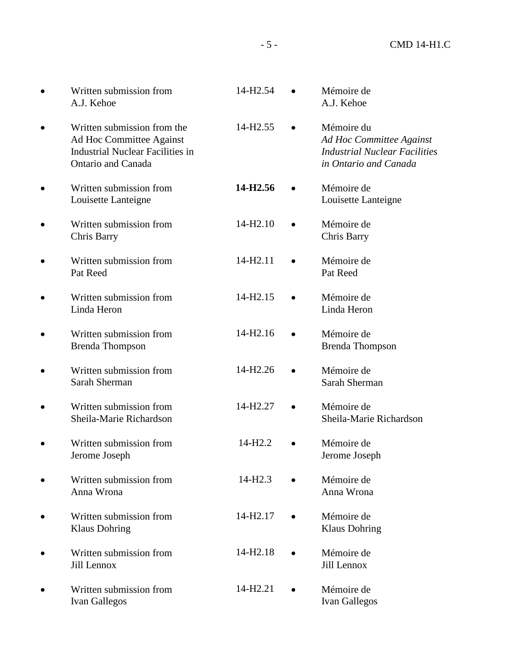| Written submission from<br>A.J. Kehoe                                                                                           | 14-H <sub>2.54</sub> | Mémoire de<br>A.J. Kehoe                                                                                |
|---------------------------------------------------------------------------------------------------------------------------------|----------------------|---------------------------------------------------------------------------------------------------------|
| Written submission from the<br>Ad Hoc Committee Against<br><b>Industrial Nuclear Facilities in</b><br><b>Ontario and Canada</b> | 14-H <sub>2.55</sub> | Mémoire du<br>Ad Hoc Committee Against<br><b>Industrial Nuclear Facilities</b><br>in Ontario and Canada |
| Written submission from<br>Louisette Lanteigne                                                                                  | 14-H2.56             | Mémoire de<br>Louisette Lanteigne                                                                       |
| Written submission from<br>Chris Barry                                                                                          | 14-H <sub>2.10</sub> | Mémoire de<br>Chris Barry                                                                               |
| Written submission from<br>Pat Reed                                                                                             | 14-H <sub>2.11</sub> | Mémoire de<br>Pat Reed                                                                                  |
| Written submission from<br>Linda Heron                                                                                          | 14-H <sub>2.15</sub> | Mémoire de<br>Linda Heron                                                                               |
| Written submission from<br><b>Brenda Thompson</b>                                                                               | 14-H <sub>2.16</sub> | Mémoire de<br><b>Brenda Thompson</b>                                                                    |
| Written submission from<br>Sarah Sherman                                                                                        | 14-H <sub>2.26</sub> | Mémoire de<br>Sarah Sherman                                                                             |
| Written submission from<br>Sheila-Marie Richardson                                                                              | 14-H2.27             | Mémoire de<br>Sheila-Marie Richardson                                                                   |
| Written submission from<br>Jerome Joseph                                                                                        | 14-H <sub>2.2</sub>  | Mémoire de<br>Jerome Joseph                                                                             |
| Written submission from<br>Anna Wrona                                                                                           | $14-H2.3$            | Mémoire de<br>Anna Wrona                                                                                |
| Written submission from<br><b>Klaus Dohring</b>                                                                                 | 14-H <sub>2.17</sub> | Mémoire de<br><b>Klaus Dohring</b>                                                                      |
| Written submission from<br>Jill Lennox                                                                                          | 14-H <sub>2.18</sub> | Mémoire de<br>Jill Lennox                                                                               |
| Written submission from<br>Ivan Gallegos                                                                                        | 14-H <sub>2.21</sub> | Mémoire de<br><b>Ivan Gallegos</b>                                                                      |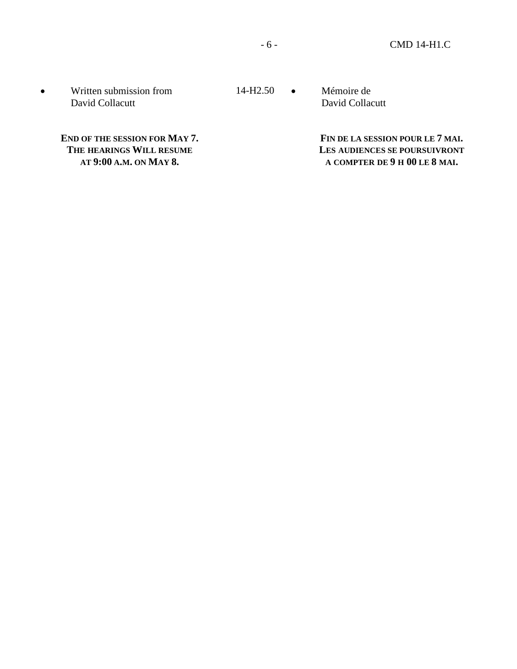• Written submission from 14-H2.50 • David Collacutt

**END OF THE SESSION FOR MAY 7. THE HEARINGS WILL RESUME AT 9:00 A.M. ON MAY 8.**

Mémoire de David Collacutt

> **FIN DE LA SESSION POUR LE 7 MAI. LES AUDIENCES SE POURSUIVRONT A COMPTER DE 9 H 00 LE 8 MAI.**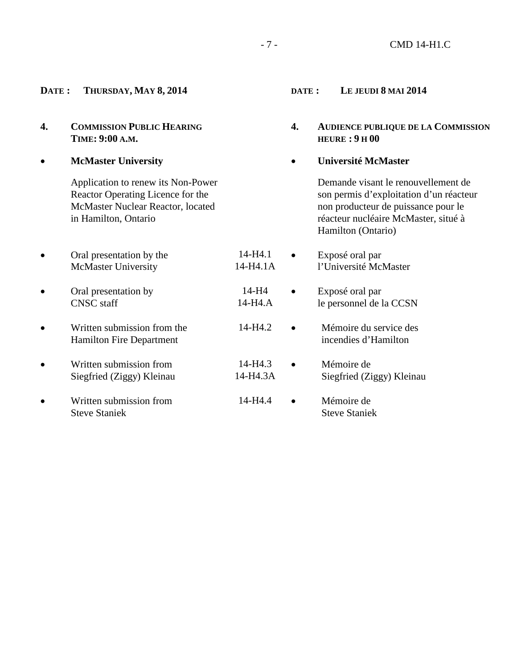- 7 - CMD 14-H1.C

# **DATE : THURSDAY, MAY 8, 2014**

- **4. COMMISSION PUBLIC HEARING TIME: 9:00 A.M.**
- **McMaster University**

Application to renew its Non-Power Reactor Operating Licence for the McMaster Nuclear Reactor, located in Hamilton, Ontario

- Oral presentation by the 14-H4.1 McMaster University 14-H4.1A
- Oral presentation by  $14-H4$ <br>CNSC staff  $14-H4.A$ CNSC staff
- Written submission from the 14-H4.2 Hamilton Fire Department
- Written submission from 14-H4.3 Siegfried (Ziggy) Kleinau 14-H4.3A
- Written submission from 14-H4.4 Steve Staniek

## **DATE : LE JEUDI 8 MAI 2014**

- **4. AUDIENCE PUBLIQUE DE LA COMMISSION HEURE : 9 H 00**
- **Université McMaster**

Demande visant le renouvellement de son permis d'exploitation d'un réacteur non producteur de puissance pour le réacteur nucléaire McMaster, situé à Hamilton (Ontario)

l'Université McMaster • Exposé oral par le personnel de la CCSN • Mémoire du service des incendies d'Hamilton

• Exposé oral par

- Mémoire de Siegfried (Ziggy) Kleinau
- Mémoire de Steve Staniek